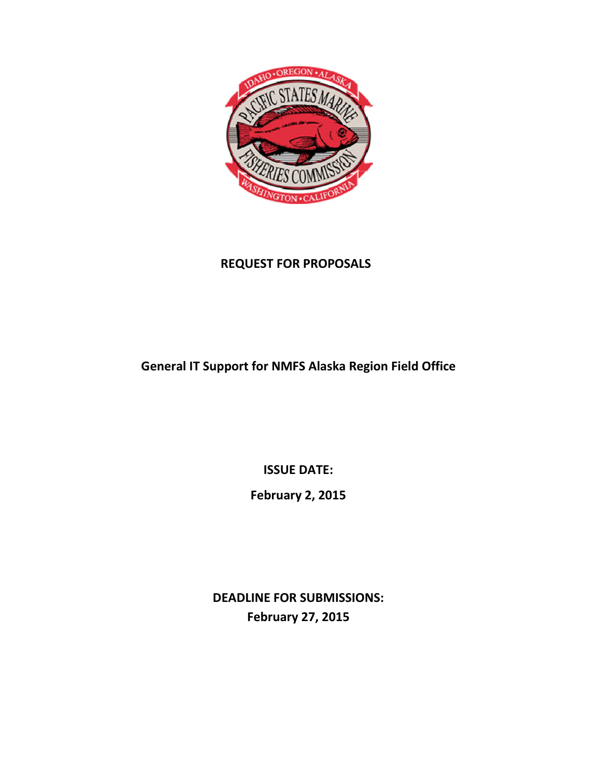

## REQUEST FOR PROPOSALS

# General IT Support for NMFS Alaska Region Field Office

ISSUE DATE:

February 2, 2015

DEADLINE FOR SUBMISSIONS: February 27, 2015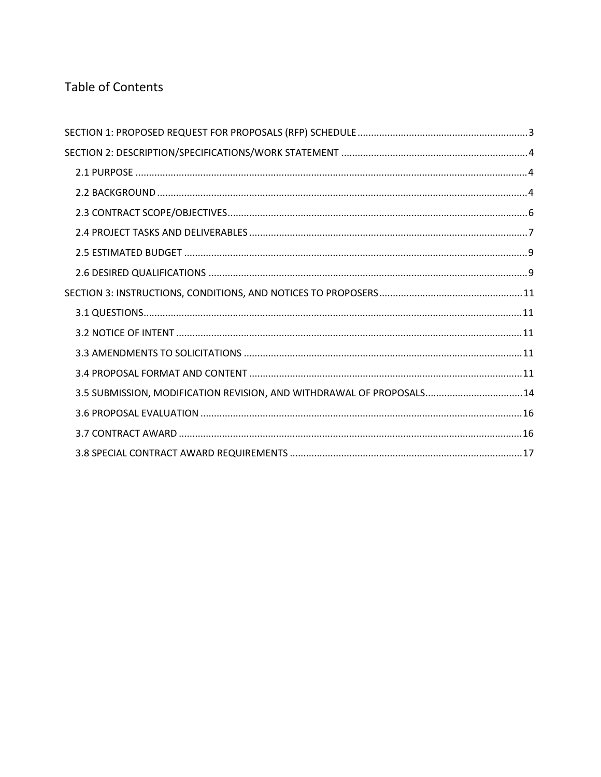## **Table of Contents**

| 3.5 SUBMISSION, MODIFICATION REVISION, AND WITHDRAWAL OF PROPOSALS 14 |  |
|-----------------------------------------------------------------------|--|
|                                                                       |  |
|                                                                       |  |
|                                                                       |  |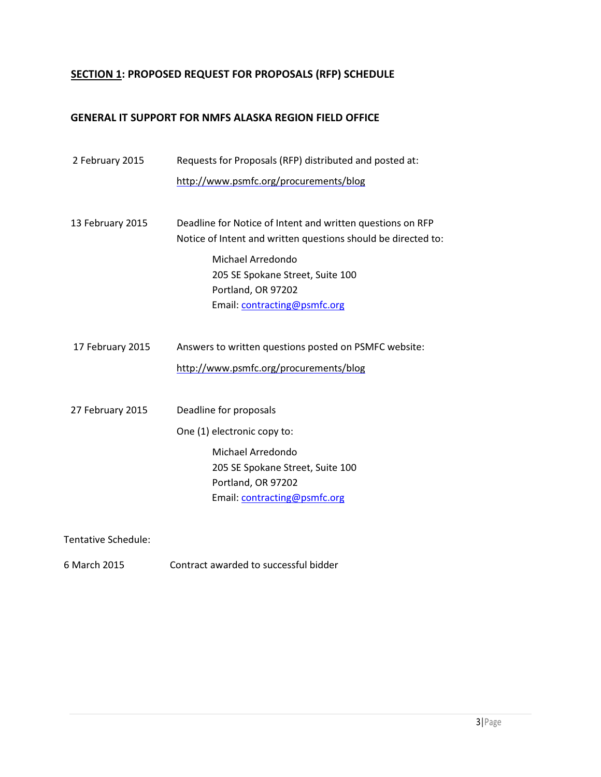## SECTION 1: PROPOSED REQUEST FOR PROPOSALS (RFP) SCHEDULE

#### GENERAL IT SUPPORT FOR NMFS ALASKA REGION FIELD OFFICE

| 2 February 2015  | Requests for Proposals (RFP) distributed and posted at:       |  |
|------------------|---------------------------------------------------------------|--|
|                  | http://www.psmfc.org/procurements/blog                        |  |
|                  |                                                               |  |
| 13 February 2015 | Deadline for Notice of Intent and written questions on RFP    |  |
|                  | Notice of Intent and written questions should be directed to: |  |
|                  | Michael Arredondo                                             |  |
|                  | 205 SE Spokane Street, Suite 100                              |  |
|                  | Portland, OR 97202                                            |  |
|                  | Email: contracting@psmfc.org                                  |  |
|                  |                                                               |  |
| 17 February 2015 | Answers to written questions posted on PSMFC website:         |  |
|                  | http://www.psmfc.org/procurements/blog                        |  |
|                  |                                                               |  |
| 27 February 2015 | Deadline for proposals                                        |  |
|                  | One (1) electronic copy to:                                   |  |
|                  | Michael Arredondo                                             |  |
|                  | 205 SE Spokane Street, Suite 100                              |  |
|                  | Portland, OR 97202                                            |  |
|                  | Email: contracting@psmfc.org                                  |  |
|                  |                                                               |  |

Tentative Schedule:

6 March 2015 Contract awarded to successful bidder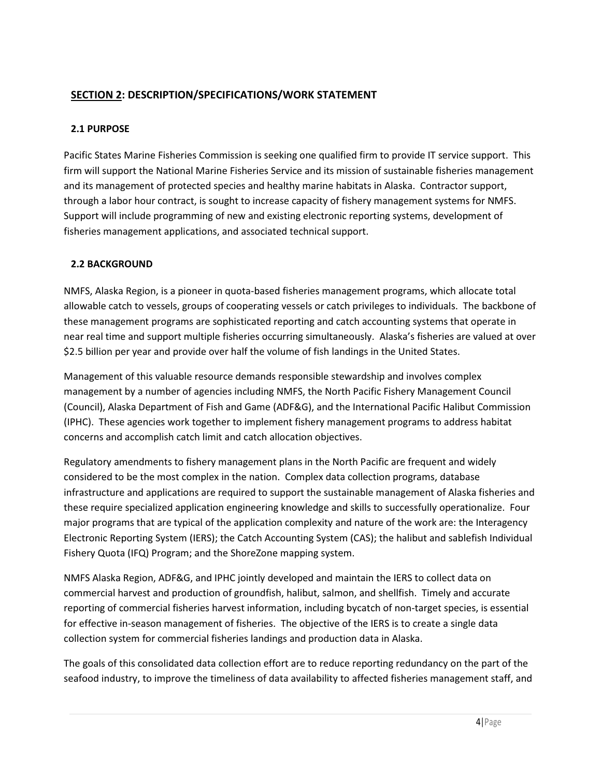## SECTION 2: DESCRIPTION/SPECIFICATIONS/WORK STATEMENT

#### 2.1 PURPOSE

Pacific States Marine Fisheries Commission is seeking one qualified firm to provide IT service support. This firm will support the National Marine Fisheries Service and its mission of sustainable fisheries management and its management of protected species and healthy marine habitats in Alaska. Contractor support, through a labor hour contract, is sought to increase capacity of fishery management systems for NMFS. Support will include programming of new and existing electronic reporting systems, development of fisheries management applications, and associated technical support.

### 2.2 BACKGROUND

NMFS, Alaska Region, is a pioneer in quota-based fisheries management programs, which allocate total allowable catch to vessels, groups of cooperating vessels or catch privileges to individuals. The backbone of these management programs are sophisticated reporting and catch accounting systems that operate in near real time and support multiple fisheries occurring simultaneously. Alaska's fisheries are valued at over \$2.5 billion per year and provide over half the volume of fish landings in the United States.

Management of this valuable resource demands responsible stewardship and involves complex management by a number of agencies including NMFS, the North Pacific Fishery Management Council (Council), Alaska Department of Fish and Game (ADF&G), and the International Pacific Halibut Commission (IPHC). These agencies work together to implement fishery management programs to address habitat concerns and accomplish catch limit and catch allocation objectives.

Regulatory amendments to fishery management plans in the North Pacific are frequent and widely considered to be the most complex in the nation. Complex data collection programs, database infrastructure and applications are required to support the sustainable management of Alaska fisheries and these require specialized application engineering knowledge and skills to successfully operationalize. Four major programs that are typical of the application complexity and nature of the work are: the Interagency Electronic Reporting System (IERS); the Catch Accounting System (CAS); the halibut and sablefish Individual Fishery Quota (IFQ) Program; and the ShoreZone mapping system.

NMFS Alaska Region, ADF&G, and IPHC jointly developed and maintain the IERS to collect data on commercial harvest and production of groundfish, halibut, salmon, and shellfish. Timely and accurate reporting of commercial fisheries harvest information, including bycatch of non-target species, is essential for effective in-season management of fisheries. The objective of the IERS is to create a single data collection system for commercial fisheries landings and production data in Alaska.

The goals of this consolidated data collection effort are to reduce reporting redundancy on the part of the seafood industry, to improve the timeliness of data availability to affected fisheries management staff, and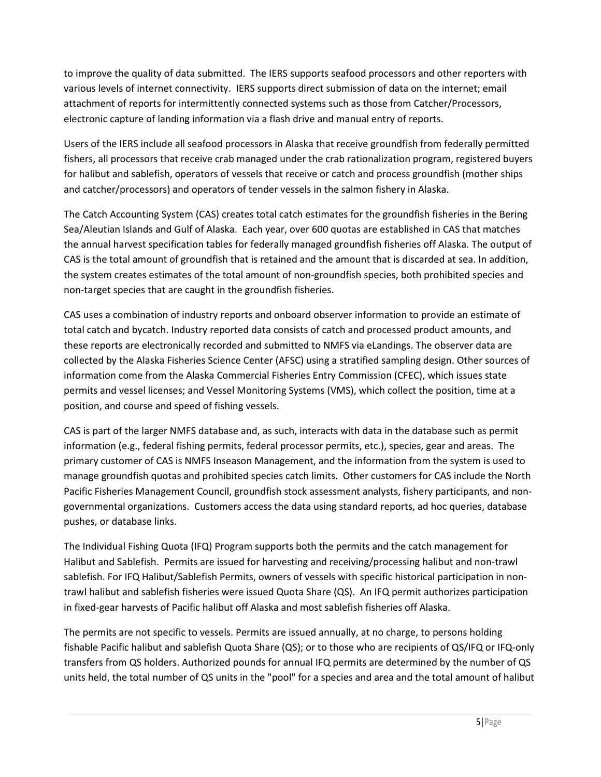to improve the quality of data submitted. The IERS supports seafood processors and other reporters with various levels of internet connectivity. IERS supports direct submission of data on the internet; email attachment of reports for intermittently connected systems such as those from Catcher/Processors, electronic capture of landing information via a flash drive and manual entry of reports.

Users of the IERS include all seafood processors in Alaska that receive groundfish from federally permitted fishers, all processors that receive crab managed under the crab rationalization program, registered buyers for halibut and sablefish, operators of vessels that receive or catch and process groundfish (mother ships and catcher/processors) and operators of tender vessels in the salmon fishery in Alaska.

The Catch Accounting System (CAS) creates total catch estimates for the groundfish fisheries in the Bering Sea/Aleutian Islands and Gulf of Alaska. Each year, over 600 quotas are established in CAS that matches the annual harvest specification tables for federally managed groundfish fisheries off Alaska. The output of CAS is the total amount of groundfish that is retained and the amount that is discarded at sea. In addition, the system creates estimates of the total amount of non-groundfish species, both prohibited species and non-target species that are caught in the groundfish fisheries.

CAS uses a combination of industry reports and onboard observer information to provide an estimate of total catch and bycatch. Industry reported data consists of catch and processed product amounts, and these reports are electronically recorded and submitted to NMFS via eLandings. The observer data are collected by the Alaska Fisheries Science Center (AFSC) using a stratified sampling design. Other sources of information come from the Alaska Commercial Fisheries Entry Commission (CFEC), which issues state permits and vessel licenses; and Vessel Monitoring Systems (VMS), which collect the position, time at a position, and course and speed of fishing vessels.

CAS is part of the larger NMFS database and, as such, interacts with data in the database such as permit information (e.g., federal fishing permits, federal processor permits, etc.), species, gear and areas. The primary customer of CAS is NMFS Inseason Management, and the information from the system is used to manage groundfish quotas and prohibited species catch limits. Other customers for CAS include the North Pacific Fisheries Management Council, groundfish stock assessment analysts, fishery participants, and nongovernmental organizations. Customers access the data using standard reports, ad hoc queries, database pushes, or database links.

The Individual Fishing Quota (IFQ) Program supports both the permits and the catch management for Halibut and Sablefish. Permits are issued for harvesting and receiving/processing halibut and non-trawl sablefish. For IFQ Halibut/Sablefish Permits, owners of vessels with specific historical participation in nontrawl halibut and sablefish fisheries were issued Quota Share (QS). An IFQ permit authorizes participation in fixed-gear harvests of Pacific halibut off Alaska and most sablefish fisheries off Alaska.

The permits are not specific to vessels. Permits are issued annually, at no charge, to persons holding fishable Pacific halibut and sablefish Quota Share (QS); or to those who are recipients of QS/IFQ or IFQ-only transfers from QS holders. Authorized pounds for annual IFQ permits are determined by the number of QS units held, the total number of QS units in the "pool" for a species and area and the total amount of halibut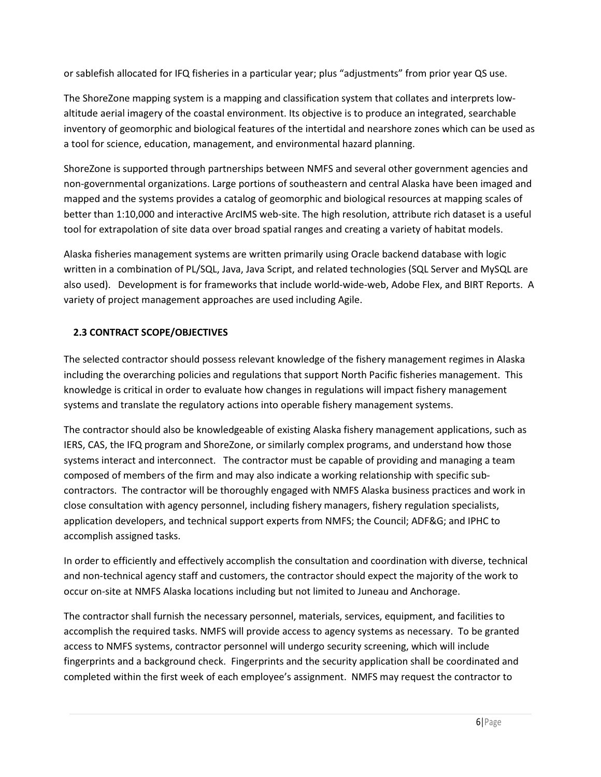or sablefish allocated for IFQ fisheries in a particular year; plus "adjustments" from prior year QS use.

The ShoreZone mapping system is a mapping and classification system that collates and interprets lowaltitude aerial imagery of the coastal environment. Its objective is to produce an integrated, searchable inventory of geomorphic and biological features of the intertidal and nearshore zones which can be used as a tool for science, education, management, and environmental hazard planning.

ShoreZone is supported through partnerships between NMFS and several other government agencies and non-governmental organizations. Large portions of southeastern and central Alaska have been imaged and mapped and the systems provides a catalog of geomorphic and biological resources at mapping scales of better than 1:10,000 and interactive ArcIMS web-site. The high resolution, attribute rich dataset is a useful tool for extrapolation of site data over broad spatial ranges and creating a variety of habitat models.

Alaska fisheries management systems are written primarily using Oracle backend database with logic written in a combination of PL/SQL, Java, Java Script, and related technologies (SQL Server and MySQL are also used). Development is for frameworks that include world-wide-web, Adobe Flex, and BIRT Reports. A variety of project management approaches are used including Agile.

## 2.3 CONTRACT SCOPE/OBJECTIVES

The selected contractor should possess relevant knowledge of the fishery management regimes in Alaska including the overarching policies and regulations that support North Pacific fisheries management. This knowledge is critical in order to evaluate how changes in regulations will impact fishery management systems and translate the regulatory actions into operable fishery management systems.

The contractor should also be knowledgeable of existing Alaska fishery management applications, such as IERS, CAS, the IFQ program and ShoreZone, or similarly complex programs, and understand how those systems interact and interconnect. The contractor must be capable of providing and managing a team composed of members of the firm and may also indicate a working relationship with specific subcontractors. The contractor will be thoroughly engaged with NMFS Alaska business practices and work in close consultation with agency personnel, including fishery managers, fishery regulation specialists, application developers, and technical support experts from NMFS; the Council; ADF&G; and IPHC to accomplish assigned tasks.

In order to efficiently and effectively accomplish the consultation and coordination with diverse, technical and non-technical agency staff and customers, the contractor should expect the majority of the work to occur on-site at NMFS Alaska locations including but not limited to Juneau and Anchorage.

The contractor shall furnish the necessary personnel, materials, services, equipment, and facilities to accomplish the required tasks. NMFS will provide access to agency systems as necessary. To be granted access to NMFS systems, contractor personnel will undergo security screening, which will include fingerprints and a background check. Fingerprints and the security application shall be coordinated and completed within the first week of each employee's assignment. NMFS may request the contractor to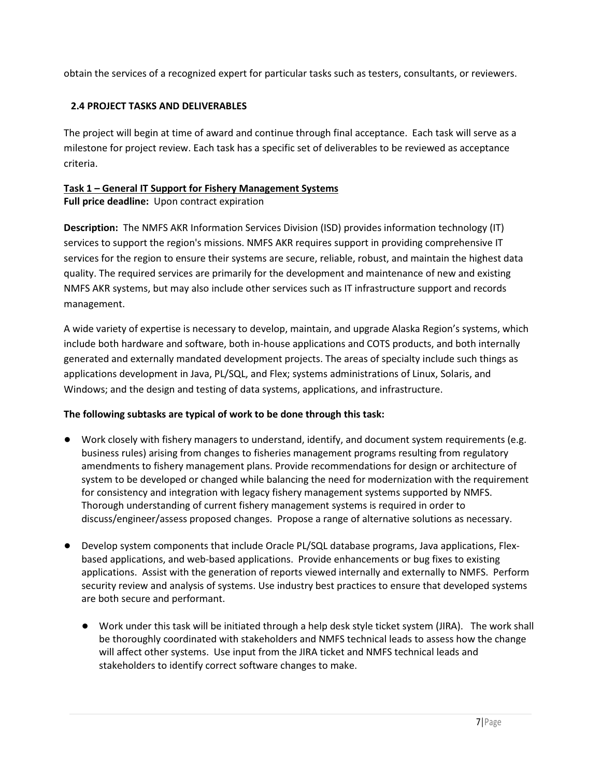obtain the services of a recognized expert for particular tasks such as testers, consultants, or reviewers.

## 2.4 PROJECT TASKS AND DELIVERABLES

The project will begin at time of award and continue through final acceptance. Each task will serve as a milestone for project review. Each task has a specific set of deliverables to be reviewed as acceptance criteria.

## Task 1 – General IT Support for Fishery Management Systems

Full price deadline: Upon contract expiration

Description: The NMFS AKR Information Services Division (ISD) provides information technology (IT) services to support the region's missions. NMFS AKR requires support in providing comprehensive IT services for the region to ensure their systems are secure, reliable, robust, and maintain the highest data quality. The required services are primarily for the development and maintenance of new and existing NMFS AKR systems, but may also include other services such as IT infrastructure support and records management.

A wide variety of expertise is necessary to develop, maintain, and upgrade Alaska Region's systems, which include both hardware and software, both in-house applications and COTS products, and both internally generated and externally mandated development projects. The areas of specialty include such things as applications development in Java, PL/SQL, and Flex; systems administrations of Linux, Solaris, and Windows; and the design and testing of data systems, applications, and infrastructure.

### The following subtasks are typical of work to be done through this task:

- Work closely with fishery managers to understand, identify, and document system requirements (e.g. business rules) arising from changes to fisheries management programs resulting from regulatory amendments to fishery management plans. Provide recommendations for design or architecture of system to be developed or changed while balancing the need for modernization with the requirement for consistency and integration with legacy fishery management systems supported by NMFS. Thorough understanding of current fishery management systems is required in order to discuss/engineer/assess proposed changes. Propose a range of alternative solutions as necessary.
- Develop system components that include Oracle PL/SQL database programs, Java applications, Flexbased applications, and web-based applications. Provide enhancements or bug fixes to existing applications. Assist with the generation of reports viewed internally and externally to NMFS. Perform security review and analysis of systems. Use industry best practices to ensure that developed systems are both secure and performant.
	- Work under this task will be initiated through a help desk style ticket system (JIRA). The work shall be thoroughly coordinated with stakeholders and NMFS technical leads to assess how the change will affect other systems. Use input from the JIRA ticket and NMFS technical leads and stakeholders to identify correct software changes to make.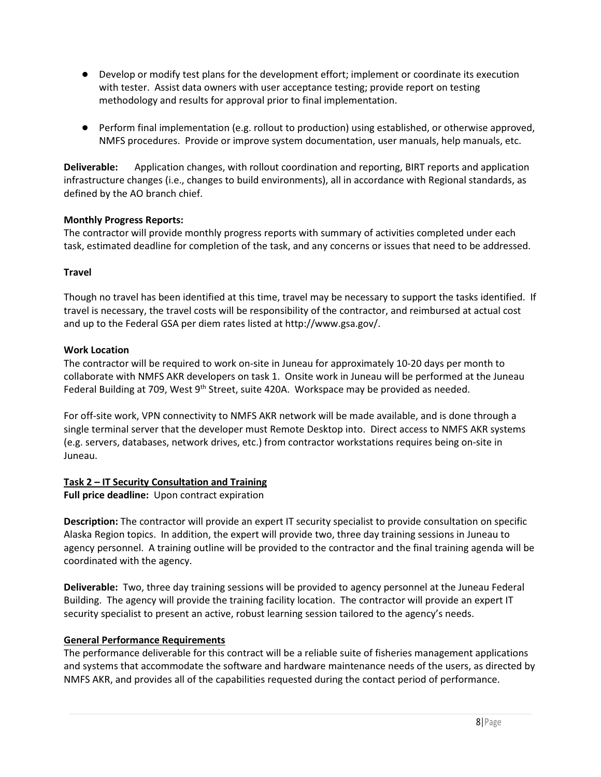- Develop or modify test plans for the development effort; implement or coordinate its execution with tester. Assist data owners with user acceptance testing; provide report on testing methodology and results for approval prior to final implementation.
- Perform final implementation (e.g. rollout to production) using established, or otherwise approved, NMFS procedures. Provide or improve system documentation, user manuals, help manuals, etc.

**Deliverable:** Application changes, with rollout coordination and reporting, BIRT reports and application infrastructure changes (i.e., changes to build environments), all in accordance with Regional standards, as defined by the AO branch chief.

#### Monthly Progress Reports:

The contractor will provide monthly progress reports with summary of activities completed under each task, estimated deadline for completion of the task, and any concerns or issues that need to be addressed.

#### Travel

Though no travel has been identified at this time, travel may be necessary to support the tasks identified. If travel is necessary, the travel costs will be responsibility of the contractor, and reimbursed at actual cost and up to the Federal GSA per diem rates listed at http://www.gsa.gov/.

#### Work Location

The contractor will be required to work on-site in Juneau for approximately 10-20 days per month to collaborate with NMFS AKR developers on task 1. Onsite work in Juneau will be performed at the Juneau Federal Building at 709, West  $9<sup>th</sup>$  Street, suite 420A. Workspace may be provided as needed.

For off-site work, VPN connectivity to NMFS AKR network will be made available, and is done through a single terminal server that the developer must Remote Desktop into. Direct access to NMFS AKR systems (e.g. servers, databases, network drives, etc.) from contractor workstations requires being on-site in Juneau.

#### Task 2 – IT Security Consultation and Training

Full price deadline: Upon contract expiration

Description: The contractor will provide an expert IT security specialist to provide consultation on specific Alaska Region topics. In addition, the expert will provide two, three day training sessions in Juneau to agency personnel. A training outline will be provided to the contractor and the final training agenda will be coordinated with the agency.

Deliverable: Two, three day training sessions will be provided to agency personnel at the Juneau Federal Building. The agency will provide the training facility location. The contractor will provide an expert IT security specialist to present an active, robust learning session tailored to the agency's needs.

#### General Performance Requirements

The performance deliverable for this contract will be a reliable suite of fisheries management applications and systems that accommodate the software and hardware maintenance needs of the users, as directed by NMFS AKR, and provides all of the capabilities requested during the contact period of performance.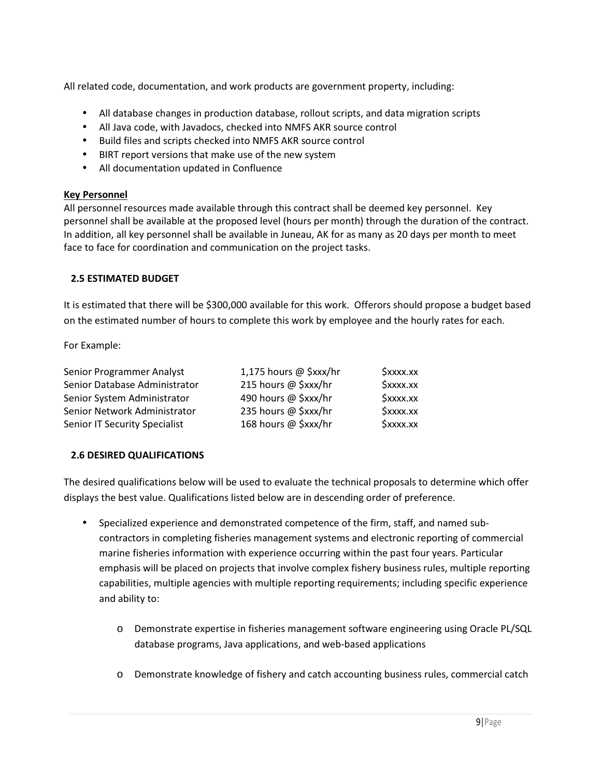All related code, documentation, and work products are government property, including:

- All database changes in production database, rollout scripts, and data migration scripts
- All Java code, with Javadocs, checked into NMFS AKR source control
- Build files and scripts checked into NMFS AKR source control
- BIRT report versions that make use of the new system
- All documentation updated in Confluence

#### Key Personnel

All personnel resources made available through this contract shall be deemed key personnel. Key personnel shall be available at the proposed level (hours per month) through the duration of the contract. In addition, all key personnel shall be available in Juneau, AK for as many as 20 days per month to meet face to face for coordination and communication on the project tasks.

#### 2.5 ESTIMATED BUDGET

It is estimated that there will be \$300,000 available for this work. Offerors should propose a budget based on the estimated number of hours to complete this work by employee and the hourly rates for each.

For Example:

| Senior Programmer Analyst     | 1,175 hours @ $\frac{5}{x}$ xxx/hr | \$xxxx.xx |
|-------------------------------|------------------------------------|-----------|
| Senior Database Administrator | 215 hours @ \$xxx/hr               | \$xxxx.xx |
| Senior System Administrator   | 490 hours @ \$xxx/hr               | \$xxxx.xx |
| Senior Network Administrator  | 235 hours @ \$xxx/hr               | \$xxxx.xx |
| Senior IT Security Specialist | 168 hours @ \$xxx/hr               | \$xxxx.xx |

#### 2.6 DESIRED QUALIFICATIONS

The desired qualifications below will be used to evaluate the technical proposals to determine which offer displays the best value. Qualifications listed below are in descending order of preference.

- Specialized experience and demonstrated competence of the firm, staff, and named subcontractors in completing fisheries management systems and electronic reporting of commercial marine fisheries information with experience occurring within the past four years. Particular emphasis will be placed on projects that involve complex fishery business rules, multiple reporting capabilities, multiple agencies with multiple reporting requirements; including specific experience and ability to:
	- o Demonstrate expertise in fisheries management software engineering using Oracle PL/SQL database programs, Java applications, and web-based applications
	- o Demonstrate knowledge of fishery and catch accounting business rules, commercial catch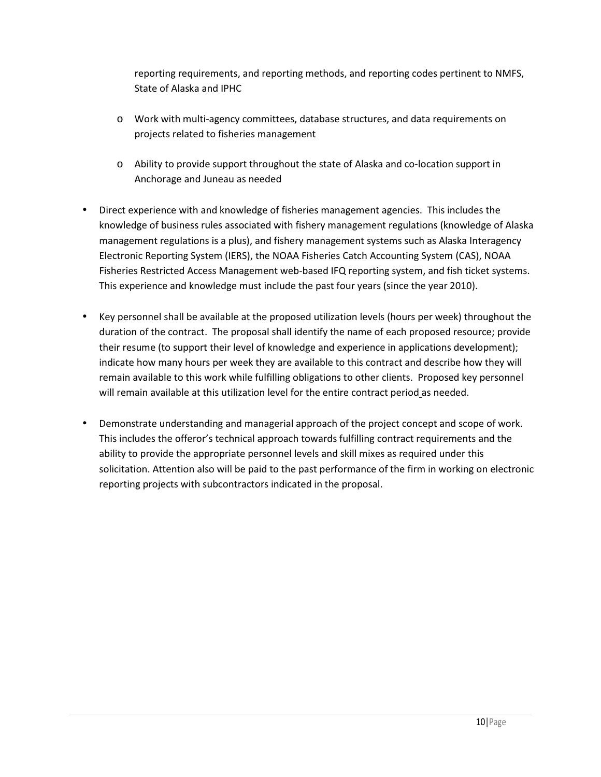reporting requirements, and reporting methods, and reporting codes pertinent to NMFS, State of Alaska and IPHC

- o Work with multi-agency committees, database structures, and data requirements on projects related to fisheries management
- o Ability to provide support throughout the state of Alaska and co-location support in Anchorage and Juneau as needed
- Direct experience with and knowledge of fisheries management agencies. This includes the knowledge of business rules associated with fishery management regulations (knowledge of Alaska management regulations is a plus), and fishery management systems such as Alaska Interagency Electronic Reporting System (IERS), the NOAA Fisheries Catch Accounting System (CAS), NOAA Fisheries Restricted Access Management web-based IFQ reporting system, and fish ticket systems. This experience and knowledge must include the past four years (since the year 2010).
- Key personnel shall be available at the proposed utilization levels (hours per week) throughout the duration of the contract. The proposal shall identify the name of each proposed resource; provide their resume (to support their level of knowledge and experience in applications development); indicate how many hours per week they are available to this contract and describe how they will remain available to this work while fulfilling obligations to other clients. Proposed key personnel will remain available at this utilization level for the entire contract period as needed.
- Demonstrate understanding and managerial approach of the project concept and scope of work. This includes the offeror's technical approach towards fulfilling contract requirements and the ability to provide the appropriate personnel levels and skill mixes as required under this solicitation. Attention also will be paid to the past performance of the firm in working on electronic reporting projects with subcontractors indicated in the proposal.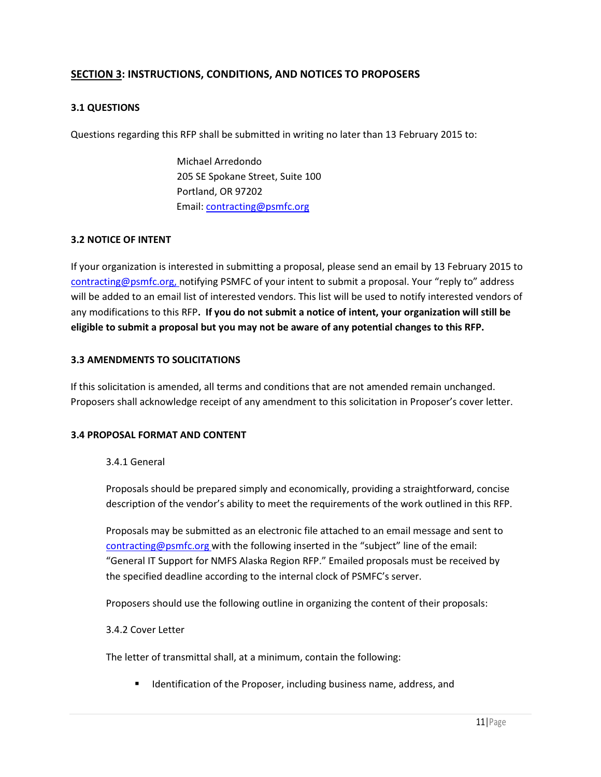#### SECTION 3: INSTRUCTIONS, CONDITIONS, AND NOTICES TO PROPOSERS

#### 3.1 QUESTIONS

Questions regarding this RFP shall be submitted in writing no later than 13 February 2015 to:

 Michael Arredondo 205 SE Spokane Street, Suite 100 Portland, OR 97202 Email: contracting@psmfc.org

#### 3.2 NOTICE OF INTENT

If your organization is interested in submitting a proposal, please send an email by 13 February 2015 to contracting@psmfc.org, notifying PSMFC of your intent to submit a proposal. Your "reply to" address will be added to an email list of interested vendors. This list will be used to notify interested vendors of any modifications to this RFP. If you do not submit a notice of intent, your organization will still be eligible to submit a proposal but you may not be aware of any potential changes to this RFP.

#### 3.3 AMENDMENTS TO SOLICITATIONS

If this solicitation is amended, all terms and conditions that are not amended remain unchanged. Proposers shall acknowledge receipt of any amendment to this solicitation in Proposer's cover letter.

#### 3.4 PROPOSAL FORMAT AND CONTENT

#### 3.4.1 General

Proposals should be prepared simply and economically, providing a straightforward, concise description of the vendor's ability to meet the requirements of the work outlined in this RFP.

Proposals may be submitted as an electronic file attached to an email message and sent to contracting@psmfc.org with the following inserted in the "subject" line of the email: "General IT Support for NMFS Alaska Region RFP." Emailed proposals must be received by the specified deadline according to the internal clock of PSMFC's server.

Proposers should use the following outline in organizing the content of their proposals:

#### 3.4.2 Cover Letter

The letter of transmittal shall, at a minimum, contain the following:

Identification of the Proposer, including business name, address, and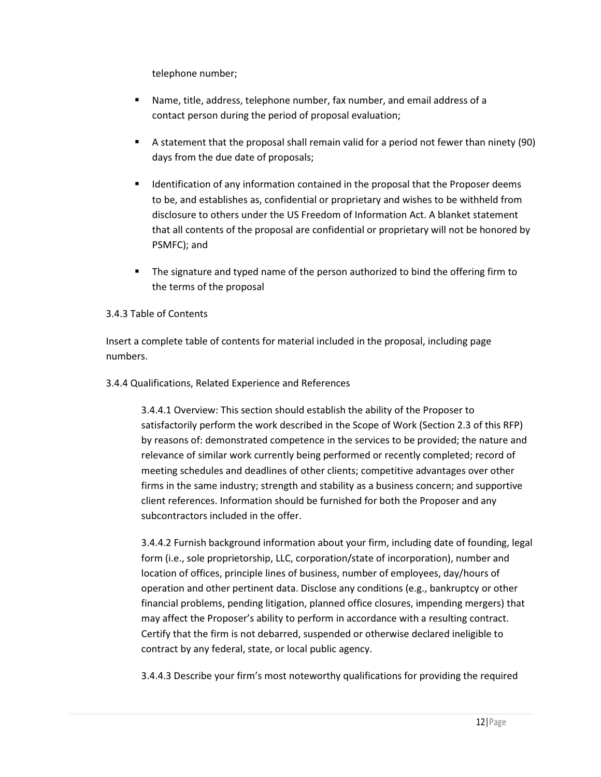telephone number;

- Name, title, address, telephone number, fax number, and email address of a contact person during the period of proposal evaluation;
- A statement that the proposal shall remain valid for a period not fewer than ninety (90) days from the due date of proposals;
- **IDENTIFICATION IN ADAMALY** Idention contained in the proposal that the Proposer deems to be, and establishes as, confidential or proprietary and wishes to be withheld from disclosure to others under the US Freedom of Information Act. A blanket statement that all contents of the proposal are confidential or proprietary will not be honored by PSMFC); and
- The signature and typed name of the person authorized to bind the offering firm to the terms of the proposal

#### 3.4.3 Table of Contents

Insert a complete table of contents for material included in the proposal, including page numbers.

#### 3.4.4 Qualifications, Related Experience and References

3.4.4.1 Overview: This section should establish the ability of the Proposer to satisfactorily perform the work described in the Scope of Work (Section 2.3 of this RFP) by reasons of: demonstrated competence in the services to be provided; the nature and relevance of similar work currently being performed or recently completed; record of meeting schedules and deadlines of other clients; competitive advantages over other firms in the same industry; strength and stability as a business concern; and supportive client references. Information should be furnished for both the Proposer and any subcontractors included in the offer.

3.4.4.2 Furnish background information about your firm, including date of founding, legal form (i.e., sole proprietorship, LLC, corporation/state of incorporation), number and location of offices, principle lines of business, number of employees, day/hours of operation and other pertinent data. Disclose any conditions (e.g., bankruptcy or other financial problems, pending litigation, planned office closures, impending mergers) that may affect the Proposer's ability to perform in accordance with a resulting contract. Certify that the firm is not debarred, suspended or otherwise declared ineligible to contract by any federal, state, or local public agency.

3.4.4.3 Describe your firm's most noteworthy qualifications for providing the required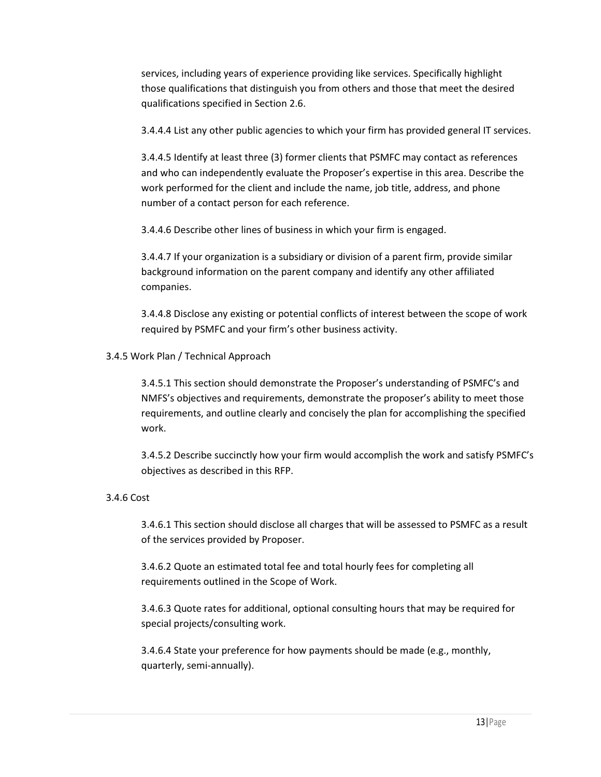services, including years of experience providing like services. Specifically highlight those qualifications that distinguish you from others and those that meet the desired qualifications specified in Section 2.6.

3.4.4.4 List any other public agencies to which your firm has provided general IT services.

3.4.4.5 Identify at least three (3) former clients that PSMFC may contact as references and who can independently evaluate the Proposer's expertise in this area. Describe the work performed for the client and include the name, job title, address, and phone number of a contact person for each reference.

3.4.4.6 Describe other lines of business in which your firm is engaged.

3.4.4.7 If your organization is a subsidiary or division of a parent firm, provide similar background information on the parent company and identify any other affiliated companies.

3.4.4.8 Disclose any existing or potential conflicts of interest between the scope of work required by PSMFC and your firm's other business activity.

#### 3.4.5 Work Plan / Technical Approach

3.4.5.1 This section should demonstrate the Proposer's understanding of PSMFC's and NMFS's objectives and requirements, demonstrate the proposer's ability to meet those requirements, and outline clearly and concisely the plan for accomplishing the specified work.

3.4.5.2 Describe succinctly how your firm would accomplish the work and satisfy PSMFC's objectives as described in this RFP.

#### 3.4.6 Cost

3.4.6.1 This section should disclose all charges that will be assessed to PSMFC as a result of the services provided by Proposer.

3.4.6.2 Quote an estimated total fee and total hourly fees for completing all requirements outlined in the Scope of Work.

3.4.6.3 Quote rates for additional, optional consulting hours that may be required for special projects/consulting work.

3.4.6.4 State your preference for how payments should be made (e.g., monthly, quarterly, semi-annually).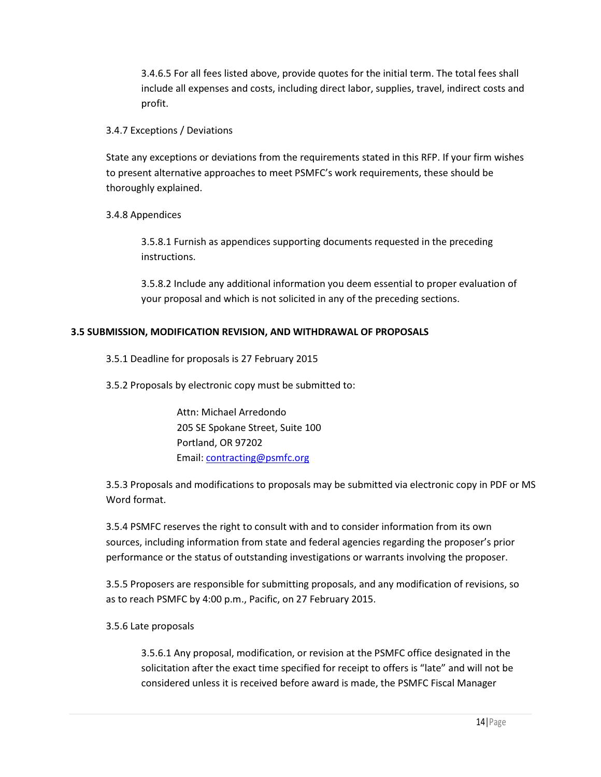3.4.6.5 For all fees listed above, provide quotes for the initial term. The total fees shall include all expenses and costs, including direct labor, supplies, travel, indirect costs and profit.

#### 3.4.7 Exceptions / Deviations

State any exceptions or deviations from the requirements stated in this RFP. If your firm wishes to present alternative approaches to meet PSMFC's work requirements, these should be thoroughly explained.

3.4.8 Appendices

3.5.8.1 Furnish as appendices supporting documents requested in the preceding instructions.

3.5.8.2 Include any additional information you deem essential to proper evaluation of your proposal and which is not solicited in any of the preceding sections.

#### 3.5 SUBMISSION, MODIFICATION REVISION, AND WITHDRAWAL OF PROPOSALS

3.5.1 Deadline for proposals is 27 February 2015

3.5.2 Proposals by electronic copy must be submitted to:

 Attn: Michael Arredondo 205 SE Spokane Street, Suite 100 Portland, OR 97202 Email: contracting@psmfc.org

3.5.3 Proposals and modifications to proposals may be submitted via electronic copy in PDF or MS Word format.

3.5.4 PSMFC reserves the right to consult with and to consider information from its own sources, including information from state and federal agencies regarding the proposer's prior performance or the status of outstanding investigations or warrants involving the proposer.

3.5.5 Proposers are responsible for submitting proposals, and any modification of revisions, so as to reach PSMFC by 4:00 p.m., Pacific, on 27 February 2015.

#### 3.5.6 Late proposals

3.5.6.1 Any proposal, modification, or revision at the PSMFC office designated in the solicitation after the exact time specified for receipt to offers is "late" and will not be considered unless it is received before award is made, the PSMFC Fiscal Manager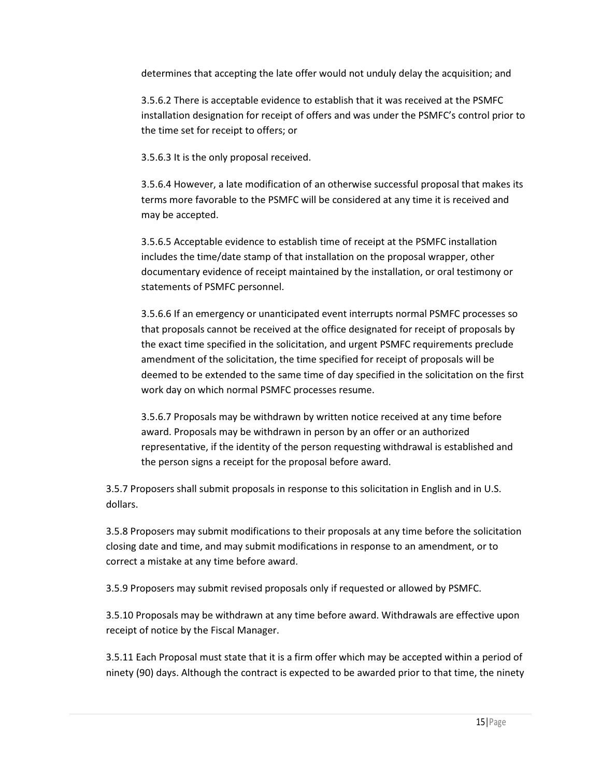determines that accepting the late offer would not unduly delay the acquisition; and

3.5.6.2 There is acceptable evidence to establish that it was received at the PSMFC installation designation for receipt of offers and was under the PSMFC's control prior to the time set for receipt to offers; or

3.5.6.3 It is the only proposal received.

3.5.6.4 However, a late modification of an otherwise successful proposal that makes its terms more favorable to the PSMFC will be considered at any time it is received and may be accepted.

3.5.6.5 Acceptable evidence to establish time of receipt at the PSMFC installation includes the time/date stamp of that installation on the proposal wrapper, other documentary evidence of receipt maintained by the installation, or oral testimony or statements of PSMFC personnel.

3.5.6.6 If an emergency or unanticipated event interrupts normal PSMFC processes so that proposals cannot be received at the office designated for receipt of proposals by the exact time specified in the solicitation, and urgent PSMFC requirements preclude amendment of the solicitation, the time specified for receipt of proposals will be deemed to be extended to the same time of day specified in the solicitation on the first work day on which normal PSMFC processes resume.

3.5.6.7 Proposals may be withdrawn by written notice received at any time before award. Proposals may be withdrawn in person by an offer or an authorized representative, if the identity of the person requesting withdrawal is established and the person signs a receipt for the proposal before award.

3.5.7 Proposers shall submit proposals in response to this solicitation in English and in U.S. dollars.

3.5.8 Proposers may submit modifications to their proposals at any time before the solicitation closing date and time, and may submit modifications in response to an amendment, or to correct a mistake at any time before award.

3.5.9 Proposers may submit revised proposals only if requested or allowed by PSMFC.

3.5.10 Proposals may be withdrawn at any time before award. Withdrawals are effective upon receipt of notice by the Fiscal Manager.

3.5.11 Each Proposal must state that it is a firm offer which may be accepted within a period of ninety (90) days. Although the contract is expected to be awarded prior to that time, the ninety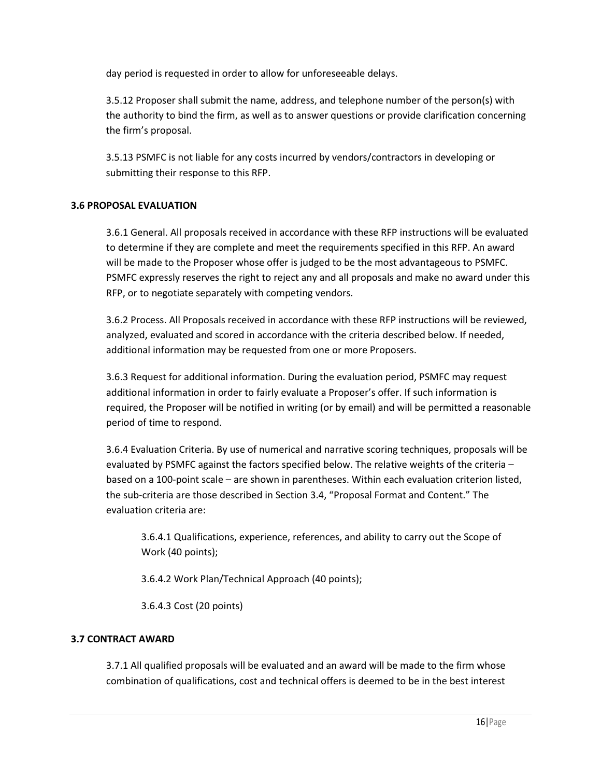day period is requested in order to allow for unforeseeable delays.

3.5.12 Proposer shall submit the name, address, and telephone number of the person(s) with the authority to bind the firm, as well as to answer questions or provide clarification concerning the firm's proposal.

3.5.13 PSMFC is not liable for any costs incurred by vendors/contractors in developing or submitting their response to this RFP.

#### 3.6 PROPOSAL EVALUATION

3.6.1 General. All proposals received in accordance with these RFP instructions will be evaluated to determine if they are complete and meet the requirements specified in this RFP. An award will be made to the Proposer whose offer is judged to be the most advantageous to PSMFC. PSMFC expressly reserves the right to reject any and all proposals and make no award under this RFP, or to negotiate separately with competing vendors.

3.6.2 Process. All Proposals received in accordance with these RFP instructions will be reviewed, analyzed, evaluated and scored in accordance with the criteria described below. If needed, additional information may be requested from one or more Proposers.

3.6.3 Request for additional information. During the evaluation period, PSMFC may request additional information in order to fairly evaluate a Proposer's offer. If such information is required, the Proposer will be notified in writing (or by email) and will be permitted a reasonable period of time to respond.

3.6.4 Evaluation Criteria. By use of numerical and narrative scoring techniques, proposals will be evaluated by PSMFC against the factors specified below. The relative weights of the criteria – based on a 100-point scale – are shown in parentheses. Within each evaluation criterion listed, the sub-criteria are those described in Section 3.4, "Proposal Format and Content." The evaluation criteria are:

3.6.4.1 Qualifications, experience, references, and ability to carry out the Scope of Work (40 points);

3.6.4.2 Work Plan/Technical Approach (40 points);

3.6.4.3 Cost (20 points)

#### 3.7 CONTRACT AWARD

3.7.1 All qualified proposals will be evaluated and an award will be made to the firm whose combination of qualifications, cost and technical offers is deemed to be in the best interest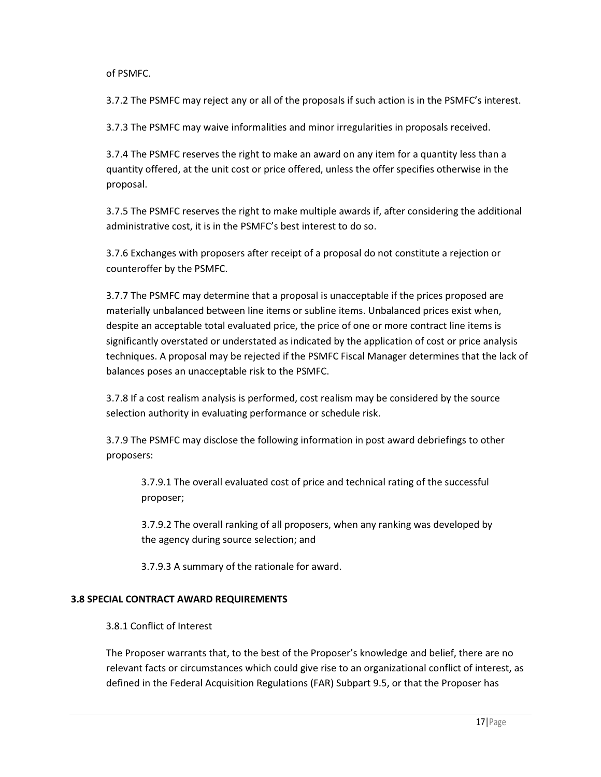of PSMFC.

3.7.2 The PSMFC may reject any or all of the proposals if such action is in the PSMFC's interest.

3.7.3 The PSMFC may waive informalities and minor irregularities in proposals received.

3.7.4 The PSMFC reserves the right to make an award on any item for a quantity less than a quantity offered, at the unit cost or price offered, unless the offer specifies otherwise in the proposal.

3.7.5 The PSMFC reserves the right to make multiple awards if, after considering the additional administrative cost, it is in the PSMFC's best interest to do so.

3.7.6 Exchanges with proposers after receipt of a proposal do not constitute a rejection or counteroffer by the PSMFC.

3.7.7 The PSMFC may determine that a proposal is unacceptable if the prices proposed are materially unbalanced between line items or subline items. Unbalanced prices exist when, despite an acceptable total evaluated price, the price of one or more contract line items is significantly overstated or understated as indicated by the application of cost or price analysis techniques. A proposal may be rejected if the PSMFC Fiscal Manager determines that the lack of balances poses an unacceptable risk to the PSMFC.

3.7.8 If a cost realism analysis is performed, cost realism may be considered by the source selection authority in evaluating performance or schedule risk.

3.7.9 The PSMFC may disclose the following information in post award debriefings to other proposers:

3.7.9.1 The overall evaluated cost of price and technical rating of the successful proposer;

3.7.9.2 The overall ranking of all proposers, when any ranking was developed by the agency during source selection; and

3.7.9.3 A summary of the rationale for award.

#### 3.8 SPECIAL CONTRACT AWARD REQUIREMENTS

#### 3.8.1 Conflict of Interest

The Proposer warrants that, to the best of the Proposer's knowledge and belief, there are no relevant facts or circumstances which could give rise to an organizational conflict of interest, as defined in the Federal Acquisition Regulations (FAR) Subpart 9.5, or that the Proposer has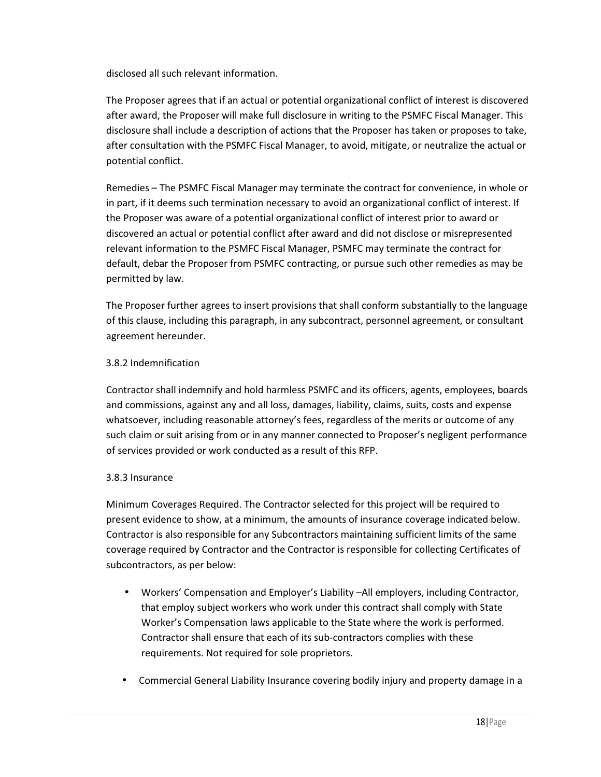disclosed all such relevant information.

The Proposer agrees that if an actual or potential organizational conflict of interest is discovered after award, the Proposer will make full disclosure in writing to the PSMFC Fiscal Manager. This disclosure shall include a description of actions that the Proposer has taken or proposes to take, after consultation with the PSMFC Fiscal Manager, to avoid, mitigate, or neutralize the actual or potential conflict.

Remedies – The PSMFC Fiscal Manager may terminate the contract for convenience, in whole or in part, if it deems such termination necessary to avoid an organizational conflict of interest. If the Proposer was aware of a potential organizational conflict of interest prior to award or discovered an actual or potential conflict after award and did not disclose or misrepresented relevant information to the PSMFC Fiscal Manager, PSMFC may terminate the contract for default, debar the Proposer from PSMFC contracting, or pursue such other remedies as may be permitted by law.

The Proposer further agrees to insert provisions that shall conform substantially to the language of this clause, including this paragraph, in any subcontract, personnel agreement, or consultant agreement hereunder.

#### 3.8.2 Indemnification

Contractor shall indemnify and hold harmless PSMFC and its officers, agents, employees, boards and commissions, against any and all loss, damages, liability, claims, suits, costs and expense whatsoever, including reasonable attorney's fees, regardless of the merits or outcome of any such claim or suit arising from or in any manner connected to Proposer's negligent performance of services provided or work conducted as a result of this RFP.

#### 3.8.3 Insurance

Minimum Coverages Required. The Contractor selected for this project will be required to present evidence to show, at a minimum, the amounts of insurance coverage indicated below. Contractor is also responsible for any Subcontractors maintaining sufficient limits of the same coverage required by Contractor and the Contractor is responsible for collecting Certificates of subcontractors, as per below:

- Workers' Compensation and Employer's Liability –All employers, including Contractor, that employ subject workers who work under this contract shall comply with State Worker's Compensation laws applicable to the State where the work is performed. Contractor shall ensure that each of its sub-contractors complies with these requirements. Not required for sole proprietors.
- Commercial General Liability Insurance covering bodily injury and property damage in a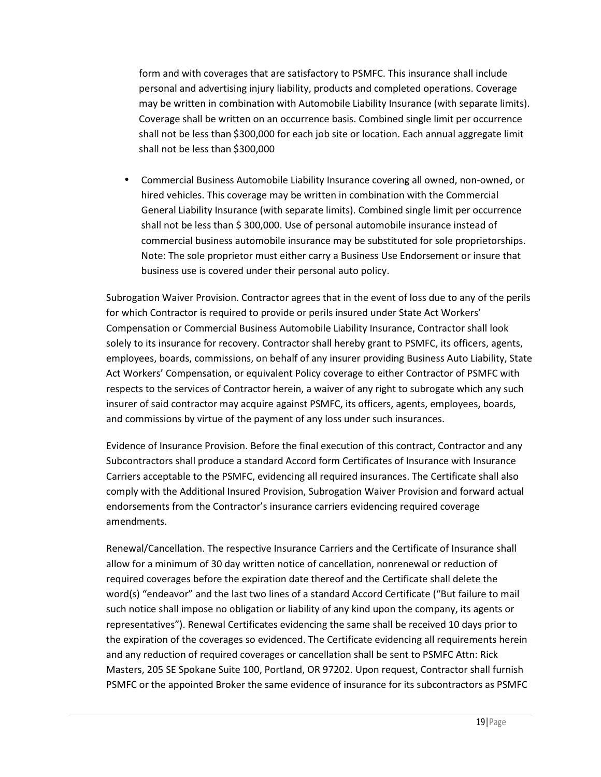form and with coverages that are satisfactory to PSMFC. This insurance shall include personal and advertising injury liability, products and completed operations. Coverage may be written in combination with Automobile Liability Insurance (with separate limits). Coverage shall be written on an occurrence basis. Combined single limit per occurrence shall not be less than \$300,000 for each job site or location. Each annual aggregate limit shall not be less than \$300,000

• Commercial Business Automobile Liability Insurance covering all owned, non-owned, or hired vehicles. This coverage may be written in combination with the Commercial General Liability Insurance (with separate limits). Combined single limit per occurrence shall not be less than \$ 300,000. Use of personal automobile insurance instead of commercial business automobile insurance may be substituted for sole proprietorships. Note: The sole proprietor must either carry a Business Use Endorsement or insure that business use is covered under their personal auto policy.

Subrogation Waiver Provision. Contractor agrees that in the event of loss due to any of the perils for which Contractor is required to provide or perils insured under State Act Workers' Compensation or Commercial Business Automobile Liability Insurance, Contractor shall look solely to its insurance for recovery. Contractor shall hereby grant to PSMFC, its officers, agents, employees, boards, commissions, on behalf of any insurer providing Business Auto Liability, State Act Workers' Compensation, or equivalent Policy coverage to either Contractor of PSMFC with respects to the services of Contractor herein, a waiver of any right to subrogate which any such insurer of said contractor may acquire against PSMFC, its officers, agents, employees, boards, and commissions by virtue of the payment of any loss under such insurances.

Evidence of Insurance Provision. Before the final execution of this contract, Contractor and any Subcontractors shall produce a standard Accord form Certificates of Insurance with Insurance Carriers acceptable to the PSMFC, evidencing all required insurances. The Certificate shall also comply with the Additional Insured Provision, Subrogation Waiver Provision and forward actual endorsements from the Contractor's insurance carriers evidencing required coverage amendments.

Renewal/Cancellation. The respective Insurance Carriers and the Certificate of Insurance shall allow for a minimum of 30 day written notice of cancellation, nonrenewal or reduction of required coverages before the expiration date thereof and the Certificate shall delete the word(s) "endeavor" and the last two lines of a standard Accord Certificate ("But failure to mail such notice shall impose no obligation or liability of any kind upon the company, its agents or representatives"). Renewal Certificates evidencing the same shall be received 10 days prior to the expiration of the coverages so evidenced. The Certificate evidencing all requirements herein and any reduction of required coverages or cancellation shall be sent to PSMFC Attn: Rick Masters, 205 SE Spokane Suite 100, Portland, OR 97202. Upon request, Contractor shall furnish PSMFC or the appointed Broker the same evidence of insurance for its subcontractors as PSMFC